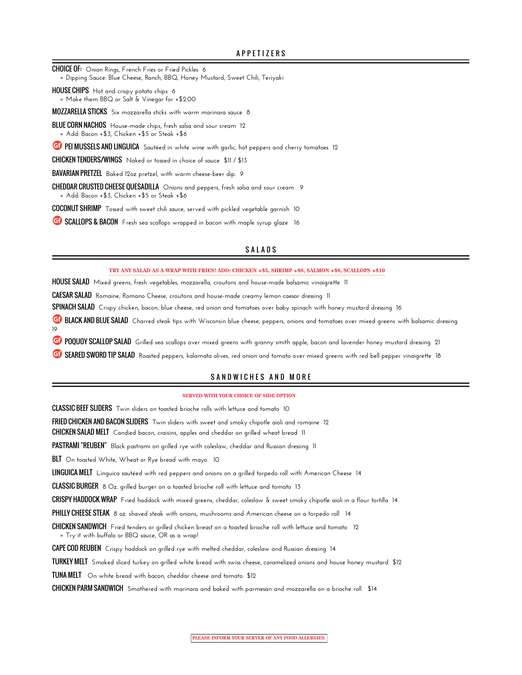CHOICE OF: **Onion Rings, French Fries or Fried Pickles 6**

- **» Dipping Sauce: Blue Cheese, Ranch, BBQ, Honey Mustard, Sweet Chili, Teriyaki**
- HOUSE CHIPS **Hot and crispy potato chips 6 » Make them BBQ or Salt & Vinegar for +\$2.00**

MOZZARELLA STICKS **Six mozzarella sticks with warm marinara sauce 8**

BLUE CORN NACHOS **House-made chips, fresh salsa and sour cream 12 » Add: Bacon +\$3, Chicken +\$5 or Steak +\$6**

**CD** PEI MUSSELS AND LINGUICA Sautéed in white wine with garlic, hot peppers and cherry tomatoes 12

CHICKEN TENDERS/WINGS **Naked or tossed in choice of sauce \$11 / \$13**

BAVARIAN PRETZEL **Baked 12oz pretzel, with warm cheese-beer dip. 9**

CHEDDAR CRUSTED CHEESE QUESADILLA **Onions and peppers, fresh salsa and sour cream 9 » Add: Bacon +\$3, Chicken +\$5 or Steak +\$6**

COCONUT SHRIMP **Tossed with sweet chili sauce, served with pickled vegetable garnish 10**

**G** SCALLOPS & BACON Fresh sea scallops wrapped in bacon with maple syrup glaze 16

### SALADS

**TRY ANY SALAD AS A WRAP WITH FRIES! ADD: CHICKEN +\$5, SHRIMP +\$8, SALMON +\$8, SCALLOPS +\$10**

HOUSE SALAD **Mixed greens, fresh vegetables, mozzarella, croutons and house-made balsamic vinaigrette 11**

CAESAR SALAD **Romaine, Romano Cheese, croutons and house-made creamy lemon caesar dressing 11**

SPINACH SALAD **Crispy chicken, bacon, blue cheese, red onion and tomatoes over baby spinach with honey mustard dressing 16**

**G** BLACK AND BLUE SALAD Charred steak tips with Wisconsin blue cheese, peppers, onions and tomatoes over mixed greens with balsamic dressing **19**

**GP POQUOY SCALLOP SALAD** Grilled sea scallops over mixed greens with granny smith apple, bacon and lavender honey mustard dressing 21

**G** SEARED SWORD TIP SALAD Roasted peppers, kalamata olives, red onion and tomato over mixed greens with red bell pepper vinaigrette 18

### SAND WICHES AND MORE

#### **SERVED WITH YOUR CHOICE OF SIDE OPTION**

CLASSIC BEEF SLIDERS **Twin sliders on toasted brioche rolls with lettuce and tomato 10**

FRIED CHICKEN AND BACON SLIDERS **Twin sliders with sweet and smoky chipotle aioli and romaine 12**

CHICKEN SALAD MELT **Candied bacon, craisins, apples and cheddar on grilled wheat bread 11**

PASTRAMI "REUBEN" **Black pastrami on grilled rye with coleslaw, cheddar and Russian dressing 11**

BLT **On toasted White, Wheat or Rye bread with mayo 10**

LINGUICA MELT **Linguica sautéed with red peppers and onions on a grilled torpedo roll with American Cheese 14**

CLASSIC BURGER **8 Oz. grilled burger on a toasted brioche roll with lettuce and tomato 13**

CRISPY HADDOCK WRAP **Fried haddock with mixed greens, cheddar, coleslaw & sweet smoky chipotle aioli in a flour tortilla 14**

PHILLY CHEESE STEAK **8 oz. shaved steak with onions, mushrooms and American cheese on a torpedo roll 14**

CHICKEN SANDWICH **Fried tenders or grilled chicken breast on a toasted brioche roll with lettuce and tomato 12 » Try it with buffalo or BBQ sauce, OR as a wrap!**

CAPE COD REUBEN **Crispy haddock on grilled rye with melted cheddar, coleslaw and Russian dressing 14**

TURKEY MELT **Smoked sliced turkey on grilled white bread with swiss cheese, caramelized onions and house honey mustard \$12**

TUNA MELT **On white bread with bacon, cheddar cheese and tomato \$12**

CHICKEN PARM SANDWICH **Smothered with marinara and baked with parmesan and mozzarella on a brioche roll \$14**